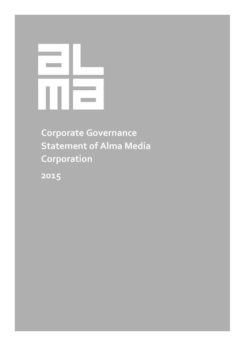**Corporate Governance Statement of Alma Media Corporation**

**2015**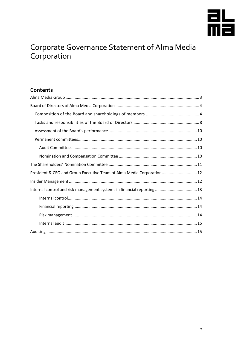

# Corporate Governance Statement of Alma Media<br>Corporation

### Contents

| President & CEO and Group Executive Team of Alma Media Corporation 12   |
|-------------------------------------------------------------------------|
|                                                                         |
| Internal control and risk management systems in financial reporting  13 |
|                                                                         |
|                                                                         |
|                                                                         |
|                                                                         |
|                                                                         |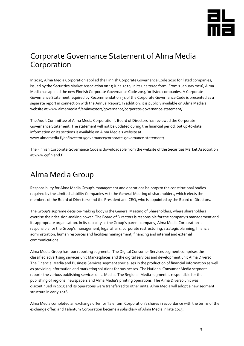

### Corporate Governance Statement of Alma Media Corporation

In 2015, Alma Media Corporation applied the Finnish Corporate Governance Code 2010 for listed companies, issued by the Securities Market Association on 15 June 2010, in its unaltered form. From 1 January 2016, Alma Media has applied the new Finnish Corporate Governance Code 2015 for listed companies. A Corporate Governance Statement required by Recommendation 54 of the Corporate Governance Code is presented as a separate report in connection with the Annual Report. In addition, it is publicly available on Alma Media's website at www.almamedia.fi/en/investors/governance/corporate-governance-statement/.

The Audit Committee of Alma Media Corporation's Board of Directors has reviewed the Corporate Governance Statement. The statement will not be updated during the financial period, but up-to-date information on its sections is available on Alma Media's website at www.almamedia.fi/en/investors/governance/corporate-governance-statement/.

The Finnish Corporate Governance Code is downloadable from the website of the Securities Market Association a[t www.cgfinland.fi.](http://www.cgfinland.fi/)

## <span id="page-2-0"></span>Alma Media Group

Responsibility for Alma Media Group's management and operations belongs to the constitutional bodies required by the Limited Liability Companies Act: the General Meeting of shareholders, which elects the members of the Board of Directors; and the President and CEO, who is appointed by the Board of Directors.

The Group's supreme decision-making body is the General Meeting of Shareholders, where shareholders exercise their decision-making power. The Board of Directors is responsible for the company's management and its appropriate organisation. In its capacity as the Group's parent company, Alma Media Corporation is responsible for the Group's management, legal affairs, corporate restructuring, strategic planning, financial administration, human resources and facilities management, financing and internal and external communications.

Alma Media Group has four reporting segments. The Digital Consumer Services segment comprises the classified advertising services unit Marketplaces and the digital services and development unit Alma Diverso. The Financial Media and Business Services segment specialises in the production of financial information as well as providing information and marketing solutions for businesses. The National Consumer Media segment reports the various publishing services of IL-Media. The Regional Media segment is responsible for the publishing of regional newspapers and Alma Media's printing operations. The Alma Diverso unit was discontinued in 2015 and its operations were transferred to other units. Alma Media will adopt a new segment structure in early 2016.

Alma Media completed an exchange offer for Talentum Corporation's shares in accordance with the terms of the exchange offer, and Talentum Corporation became a subsidiary of Alma Media in late 2015.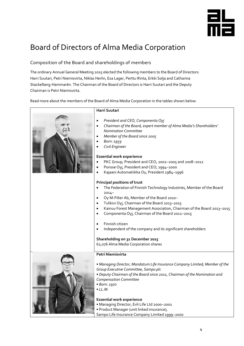

# <span id="page-3-0"></span>Board of Directors of Alma Media Corporation

### <span id="page-3-1"></span>Composition of the Board and shareholdings of members

The ordinary Annual General Meeting 2015 elected the following members to the Board of Directors: Harri Suutari, Petri Niemisvirta, Niklas Herlin, Esa Lager, Perttu Rinta, Erkki Solja and Catharina Stackelberg-Hammarén. The Chairman of the Board of Directors is Harri Suutari and the Deputy Chairman is Petri Niemisvirta.

Read more about the members of the Board of Alma Media Corporation in the tables shown below.

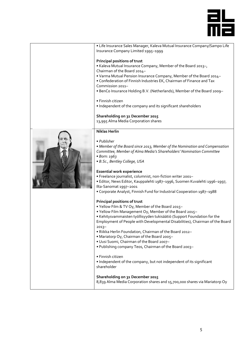

| · Life Insurance Sales Manager, Kaleva Mutual Insurance Company/Sampo Life   |  |
|------------------------------------------------------------------------------|--|
| Insurance Company Limited 1995-1999                                          |  |
|                                                                              |  |
| Principal positions of trust                                                 |  |
| . Kaleva Mutual Insurance Company, Member of the Board 2013-,                |  |
| Chairman of the Board 2014-                                                  |  |
| . Varma Mutual Pension Insurance Company, Member of the Board 2014-          |  |
| • Confederation of Finnish Industries EK, Chairman of Finance and Tax        |  |
| Commission 2011-                                                             |  |
| . BenCo Insurance Holding B.V. (Netherlands), Member of the Board 2009-      |  |
|                                                                              |  |
| • Finnish citizen                                                            |  |
| . Independent of the company and its significant shareholders                |  |
|                                                                              |  |
| Shareholding on 31 December 2015                                             |  |
| 13,995 Alma Media Corporation shares                                         |  |
|                                                                              |  |
| <b>Niklas Herlin</b>                                                         |  |
|                                                                              |  |
|                                                                              |  |
| • Publisher                                                                  |  |
| • Member of the Board since 2013, Member of the Nomination and Compensation  |  |
| Committee, Member of Alma Media's Shareholders' Nomination Committee         |  |
| • Born: 1963                                                                 |  |
| · B.Sc., Bentley College, USA                                                |  |
|                                                                              |  |
| <b>Essential work experience</b>                                             |  |
| · Freelance journalist, columnist, non-fiction writer 2001-                  |  |
| • Editor, News Editor, Kauppalehti 1987-1996, Suomen Kuvalehti 1996-1997,    |  |
| Ilta-Sanomat 1997-2001                                                       |  |
| • Corporate Analyst, Finnish Fund for Industrial Cooperation 1987-1988       |  |
|                                                                              |  |
| Principal positions of trust                                                 |  |
| . Yellow Film & TV Oy, Member of the Board 2015-                             |  |
| . Yellow Film Management Oy, Member of the Board 2015-                       |  |
| · Kehitysvammaisten työllisyyden tukisäätiö (Support Foundation for the      |  |
| Employment of People with Developmental Disabilities), Chairman of the Board |  |
| $2013-$                                                                      |  |
| . Riikka Herlin Foundation, Chairman of the Board 2012-                      |  |
| • Mariatorp Oy, Chairman of the Board 2005-                                  |  |
| . Uusi Suomi, Chairman of the Board 2007-                                    |  |
|                                                                              |  |
| . Publishing company Teos, Chairman of the Board 2003-                       |  |
| • Finnish citizen                                                            |  |
|                                                                              |  |
| • Independent of the company, but not independent of its significant         |  |
| shareholder                                                                  |  |
|                                                                              |  |
| Shareholding on 31 December 2015                                             |  |
| 8,839 Alma Media Corporation shares and 15,700,000 shares via Mariatorp Oy   |  |
|                                                                              |  |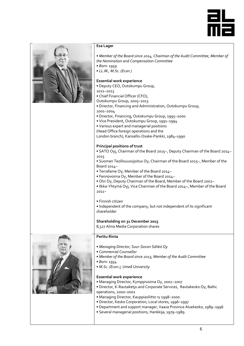



#### **Esa Lager**

• *Member of the Board since 2014, Chairman of the Audit Committee, Member of the Nomination and Compensation Committee*

- *Born: 1959*
- *LL.M., M.Sc. (Econ.)*

#### **Essential work experience**

- Deputy CEO, Outokumpu Group,
- 2011–2013
- Chief Financial Officer (CFO),
- Outokumpu Group, 2005–2013

• Director, Financing and Administration, Outokumpu Group, 2001–2004

- Director, Financing, Outokumpu Group, 1995–2000
- Vice President, Outokumpu Group, 1991–1994
- Various expert and managerial positions
- (Head Office foreign operations and the

London branch), Kansallis-Osake-Pankki, 1984–1990

#### **Principal positions of trust**

• SATO Oyj, Chairman of the Board 2015–, Deputy Chairman of the Board 2014– 2015

• Suomen Teollisuussijoitus Oy, Chairman of the Board 2015–, Member of the Board 2014–

- Terrafame Oy, Member of the Board 2014–
- Fennovoima Oy, Member of the Board 2014–
- Olvi Oy, Deputy Chairman of the Board, Member of the Board 2002–

• Ilkka-Yhtymä Oyj, Vice Chairman of the Board 2014–, Member of the Board 2011–

• Finnish citizen

• Independent of the company, but not independent of its significant shareholder

**Shareholding on 31 December 2015**

8,327 Alma Media Corporation shares



#### **Perttu Rinta**

- *Managing Director, Suur-Savon Sähkö Oy*
- *Commercial Counsellor*
- *Member of the Board since 2013, Member of the Audit Committee*
- *Born: 1954*
- *M.Sc. (Econ.), Umeå University*

#### **Essential work experience**

- Managing Director, Kymppivoima Oy, 2002–2007
- Director, K-Rautaketju and Corporate Services, Rautakesko Oy, Baltic operations, 2000–2002
- Managing Director, Kauppiasliitto ry 1998–2000
- Director, Kesko Corporation, Local stores, 1996–1997
- Department and support manager, Vaasa Province Aluekesko, 1989–1996
- Several managerial positions, Hankkija, 1979–1989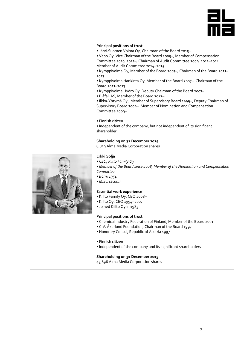

|  | Principal positions of trust                                                                                                                                                                                                                                                                                                                                                                     |
|--|--------------------------------------------------------------------------------------------------------------------------------------------------------------------------------------------------------------------------------------------------------------------------------------------------------------------------------------------------------------------------------------------------|
|  | . Järvi-Suomen Voima Oy, Chairman of the Board 2015-                                                                                                                                                                                                                                                                                                                                             |
|  | . Vapo Oy, Vice Chairman of the Board 2009-, Member of Compensation                                                                                                                                                                                                                                                                                                                              |
|  | Committee 2010, 2015-, Chairman of Audit Committee 2009, 2011-2014,                                                                                                                                                                                                                                                                                                                              |
|  | Member of Audit Committee 2014-2015                                                                                                                                                                                                                                                                                                                                                              |
|  | . Kymppivoima Oy, Member of the Board 2007-, Chairman of the Board 2011-                                                                                                                                                                                                                                                                                                                         |
|  | 2013<br>• Kymppivoima Hankinta Oy, Member of the Board 2007-, Chairman of the<br>Board 2011-2013<br>• Kymppivoima Hydro Oy, Deputy Chairman of the Board 2007-<br>· Blåfall AS, Member of the Board 2012-<br>• Ilkka-Yhtymä Oyj, Member of Supervisory Board 1999-, Deputy Chairman of<br>Supervisory Board 2009-, Member of Nomination and Compensation<br>Committee 2009-<br>• Finnish citizen |
|  | . Independent of the company, but not independent of its significant<br>shareholder                                                                                                                                                                                                                                                                                                              |
|  | Shareholding on 31 December 2015<br>8,839 Alma Media Corporation shares                                                                                                                                                                                                                                                                                                                          |
|  | Erkki Solja                                                                                                                                                                                                                                                                                                                                                                                      |
|  | • CEO, Kiilto Family Oy<br>• Member of the Board since 2008, Member of the Nomination and Compensation<br>Committee<br>• Born: 1954<br>• M.Sc. (Econ.)                                                                                                                                                                                                                                           |
|  | <b>Essential work experience</b>                                                                                                                                                                                                                                                                                                                                                                 |
|  | · Kiilto Family Oy, CEO 2008-                                                                                                                                                                                                                                                                                                                                                                    |
|  | • Kiilto Oy, CEO 1994-2007                                                                                                                                                                                                                                                                                                                                                                       |
|  | · Joined Kiilto Oy in 1983                                                                                                                                                                                                                                                                                                                                                                       |
|  |                                                                                                                                                                                                                                                                                                                                                                                                  |
|  | <b>Principal positions of trust</b>                                                                                                                                                                                                                                                                                                                                                              |
|  | . Chemical Industry Federation of Finland, Member of the Board 2001-                                                                                                                                                                                                                                                                                                                             |
|  | • C.V. Åkerlund Foundation, Chairman of the Board 1997–                                                                                                                                                                                                                                                                                                                                          |
|  | . Honorary Consul, Republic of Austria 1997-                                                                                                                                                                                                                                                                                                                                                     |
|  |                                                                                                                                                                                                                                                                                                                                                                                                  |
|  | · Finnish citizen<br>. Independent of the company and its significant shareholders                                                                                                                                                                                                                                                                                                               |
|  |                                                                                                                                                                                                                                                                                                                                                                                                  |
|  | Shareholding on 31 December 2015                                                                                                                                                                                                                                                                                                                                                                 |
|  | 45,896 Alma Media Corporation shares                                                                                                                                                                                                                                                                                                                                                             |
|  |                                                                                                                                                                                                                                                                                                                                                                                                  |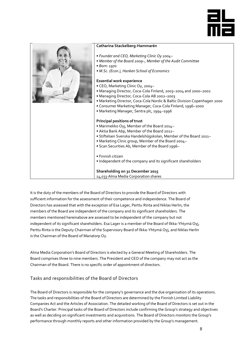



It is the duty of the members of the Board of Directors to provide the Board of Directors with sufficient information for the assessment of their competence and independence. The Board of Directors has assessed that with the exception of Esa Lager, Perttu Rinta and Niklas Herlin, the members of the Board are independent of the company and its significant shareholders. The members mentioned hereinabove are assessed to be independent of the company but not independent of its significant shareholders. Esa Lager is a member of the Board of Ilkka-Yhtymä Oyj, Perttu Rinta is the Deputy Chairman of the Supervisory Board of Ilkka-Yhtymä Oyj, and Niklas Herlin is the Chairman of the Board of Mariatorp Oy.

Alma Media Corporation's Board of Directors is elected by a General Meeting of Shareholders. The Board comprises three to nine members. The President and CEO of the company may not act as the Chairman of the Board. There is no specific order of appointment of directors.

#### <span id="page-7-0"></span>Tasks and responsibilities of the Board of Directors

The Board of Directors is responsible for the company's governance and the due organisation of its operations. The tasks and responsibilities of the Board of Directors are determined by the Finnish Limited Liability Companies Act and the Articles of Association. The detailed working of the Board of Directors is set out in the Board's Charter. Principal tasks of the Board of Directors include confirming the Group's strategy and objectives as well as deciding on significant investments and acquisitions. The Board of Directors monitors the Group's performance through monthly reports and other information provided by the Group's management.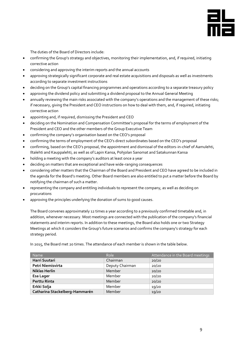

The duties of the Board of Directors include:

- confirming the Group's strategy and objectives, monitoring their implementation, and, if required, initiating corrective action
- considering and approving the interim reports and the annual accounts
- approving strategically significant corporate and real estate acquisitions and disposals as well as investments according to separate investment instructions
- deciding on the Group's capital financing programmes and operations according to a separate treasury policy
- approving the dividend policy and submitting a dividend proposal to the Annual General Meeting
- annually reviewing the main risks associated with the company's operations and the management of these risks; if necessary, giving the President and CEO instructions on how to deal with them, and, if required, initiating corrective action
- appointing and, if required, dismissing the President and CEO
- deciding on the Nomination and Compensation Committee's proposal for the terms of employment of the President and CEO and the other members of the Group Executive Team
- confirming the company's organisation based on the CEO's proposal
- confirming the terms of employment of the CEO's direct subordinates based on the CEO's proposal
- confirming, based on the CEO's proposal, the appointment and dismissal of the editors-in-chief of Aamulehti, Iltalehti and Kauppalehti, as well as of Lapin Kansa, Pohjolan Sanomat and Satakunnan Kansa
- holding a meeting with the company's auditors at least once a year
- deciding on matters that are exceptional and have wide-ranging consequences
- considering other matters that the Chairman of the Board and President and CEO have agreed to be included in the agenda for the Board's meeting. Other Board members are also entitled to put a matter before the Board by notifying the chairman of such a matter.
- representing the company and entitling individuals to represent the company, as well as deciding on procurations
- approving the principles underlying the donation of sums to good causes.

The Board convenes approximately 12 times a year according to a previously confirmed timetable and, in addition, whenever necessary. Most meetings are connected with the publication of the company's financial statements and interim reports. In addition to these meetings, the Board also holds one or two Strategy Meetings at which it considers the Group's future scenarios and confirms the company's strategy for each strategy period.

In 2015, the Board met 20 times. The attendance of each member is shown in the table below.

| <b>Name</b>                    | Role            | Attendance in the Board meetings |
|--------------------------------|-----------------|----------------------------------|
| Harri Suutari                  | Chairman        | 20/20                            |
| Petri Niemisvirta              | Deputy Chairman | 20/20                            |
| <b>Niklas Herlin</b>           | Member          | 20/20                            |
| <b>Esa Lager</b>               | Member          | 20/20                            |
| Perttu Rinta                   | Member          | 20/20                            |
| Erkki Solja                    | Member          | 19/20                            |
| Catharina Stackelberg-Hammarén | Member          | 19/20                            |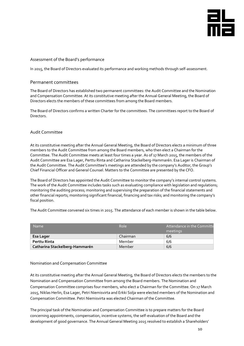

#### <span id="page-9-0"></span>Assessment of the Board's performance

In 2015, the Board of Directors evaluated its performance and working methods through self-assessment.

#### <span id="page-9-1"></span>Permanent committees

The Board of Directors has established two permanent committees: the Audit Committee and the Nomination and Compensation Committee. At its constitutive meeting after the Annual General Meeting, the Board of Directors elects the members of these committees from among the Board members.

The Board of Directors confirms a written Charter for the committees. The committees report to the Board of Directors.

#### <span id="page-9-2"></span>Audit Committee

At its constitutive meeting after the Annual General Meeting, the Board of Directors elects a minimum of three members to the Audit Committee from among the Board members, who then elect a Chairman for the Committee. The Audit Committee meets at least four times a year. As of 17 March 2015, the members of the Audit Committee are Esa Lager, Perttu Rinta and Catharina Stackelberg-Hammarén. Esa Lager is Chairman of the Audit Committee. The Audit Committee's meetings are attended by the company's Auditor, the Group's Chief Financial Officer and General Counsel. Matters to the Committee are presented by the CFO.

The Board of Directors has appointed the Audit Committee to monitor the company's internal control systems. The work of the Audit Committee includes tasks such as evaluating compliance with legislation and regulations; monitoring the auditing process; monitoring and supervising the preparation of the financial statements and other financial reports; monitoring significant financial, financing and tax risks; and monitoring the company's fiscal position.

The Audit Committee convened six times in 2015. The attendance of each member is shown in the table below.

| <b>Name</b>                    | Role     | Attendance in the Committe<br>meetings |
|--------------------------------|----------|----------------------------------------|
| Esa Lager                      | Chairman | 6/6                                    |
| Perttu Rinta                   | Member   | 6/6                                    |
| Catharina Stackelberg-Hammarén | Member   | 6/6                                    |

#### <span id="page-9-3"></span>Nomination and Compensation Committee

At its constitutive meeting after the Annual General Meeting, the Board of Directors elects the members to the Nomination and Compensation Committee from among the Board members. The Nomination and Compensation Committee comprises four members, who elect a Chairman for the Committee. On 17 March 2015, Niklas Herlin, Esa Lager, Petri Niemisvirta and Erkki Solja were elected members of the Nomination and Compensation Committee. Petri Niemisvirta was elected Chairman of the Committee.

The principal task of the Nomination and Compensation Committee is to prepare matters for the Board concerning appointments, compensation, incentive systems, the self-evaluation of the Board and the development of good governance. The Annual General Meeting 2015 resolved to establish a Shareholders'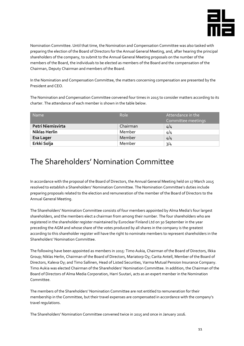

Nomination Committee. Until that time, the Nomination and Compensation Committee was also tasked with preparing the election of the Board of Directors for the Annual General Meeting, and, after hearing the principal shareholders of the company, to submit to the Annual General Meeting proposals on the number of the members of the Board, the individuals to be elected as members of the Board and the compensation of the Chairman, Deputy Chairman and members of the Board.

In the Nomination and Compensation Committee, the matters concerning compensation are presented by the President and CEO.

The Nomination and Compensation Committee convened four times in 2015 to consider matters according to its charter. The attendance of each member is shown in the table below.

| <b>Name</b>          | Role     | Attendance in the<br>Committee meetings |
|----------------------|----------|-----------------------------------------|
| Petri Niemisvirta    | Chairman | 4/4                                     |
| <b>Niklas Herlin</b> | Member   | 4/4                                     |
| <b>Esa Lager</b>     | Member   | 4/4                                     |
| Erkki Solja          | Member   | 3/4                                     |

### <span id="page-10-0"></span>The Shareholders' Nomination Committee

In accordance with the proposal of the Board of Directors, the Annual General Meeting held on 17 March 2015 resolved to establish a Shareholders' Nomination Committee. The Nomination Committee's duties include preparing proposals related to the election and remuneration of the member of the Board of Directors to the Annual General Meeting.

The Shareholders' Nomination Committee consists of four members appointed by Alma Media's four largest shareholders, and the members elect a chairman from among their number. The four shareholders who are registered in the shareholder register maintained by Euroclear Finland Ltd on 30 September in the year preceding the AGM and whose share of the votes produced by all shares in the company is the greatest according to this shareholder register will have the right to nominate members to represent shareholders in the Shareholders' Nomination Committee.

The following have been appointed as members in 2015: Timo Aukia, Chairman of the Board of Directors, Ilkka Group; Niklas Herlin, Chairman of the Board of Directors, Mariatorp Oy; Carita Antell, Member of the Board of Directors, Kaleva Oy; and Timo Sallinen, Head of Listed Securities, Varma Mutual Pension Insurance Company. Timo Aukia was elected Chairman of the Shareholders' Nomination Committee. In addition, the Chairman of the Board of Directors of Alma Media Corporation, Harri Suutari, acts as an expert member in the Nomination Committee.

The members of the Shareholders' Nomination Committee are not entitled to remuneration for their membership in the Committee, but their travel expenses are compensated in accordance with the company's travel regulations.

The Shareholders' Nomination Committee convened twice in 2015 and once in January 2016.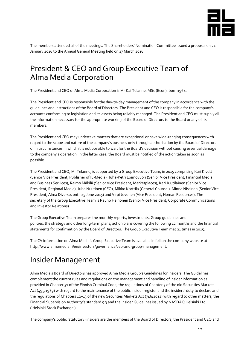

The members attended all of the meetings. The Shareholders' Nomination Committee issued a proposal on 21 January 2016 to the Annual General Meeting held on 17 March 2016.

### <span id="page-11-0"></span>President & CEO and Group Executive Team of Alma Media Corporation

The President and CEO of Alma Media Corporation is Mr Kai Telanne, MSc (Econ), born 1964.

The President and CEO is responsible for the day-to-day management of the company in accordance with the guidelines and instructions of the Board of Directors. The President and CEO is responsible for the company's accounts conforming to legislation and its assets being reliably managed. The President and CEO must supply all the information necessary for the appropriate working of the Board of Directors to the Board or any of its members.

The President and CEO may undertake matters that are exceptional or have wide-ranging consequences with regard to the scope and nature of the company's business only through authorisation by the Board of Directors or in circumstances in which it is not possible to wait for the Board's decision without causing essential damage to the company's operation. In the latter case, the Board must be notified of the action taken as soon as possible.

The President and CEO, Mr Telanne, is supported by a Group Executive Team, in 2015 comprising Kari Kivelä (Senior Vice President, Publisher of IL-Media), Juha-Petri Loimovuori (Senior Vice President, Financial Media and Business Services), Raimo Mäkilä (Senior Vice President, Marketplaces), Kari Juutilainen (Senior Vice President, Regional Media), Juha Nuutinen (CFO), Mikko Korttila (General Counsel), Minna Nissinen (Senior Vice President, Alma Diverso, until 25 June 2015) and Virpi Juvonen (Vice President, Human Resources). The secretary of the Group Executive Team is Rauno Heinonen (Senior Vice President, Corporate Communications and Investor Relations).

The Group Executive Team prepares the monthly reports, investments, Group guidelines and policies, the strategy and other long-term plans, action plans covering the following 12 months and the financial statements for confirmation by the Board of Directors. The Group Executive Team met 21 times in 2015.

The CV information on Alma Media's Group Executive Team is available in full on the company website at http://www.almamedia.fi/en/investors/governance/ceo-and-group-management.

# <span id="page-11-1"></span>Insider Management

Alma Media's Board of Directors has approved Alma Media Group's Guidelines for Insiders. The Guidelines complement the current rules and regulations on the management and handling of insider information as provided in Chapter 51 of the Finnish Criminal Code, the regulations of Chapter 5 of the old Securities Markets Act (495/1989) with regard to the maintenance of the public insider register and the insiders' duty to declare and the regulations of Chapters 12–13 of the new Securities Markets Act (746/2012) with regard to other matters, the Financial Supervision Authority's standard 5.3 and the Insider Guidelines issued by NASDAQ Helsinki Ltd ('Helsinki Stock Exchange').

The company's public (statutory) insiders are the members of the Board of Directors, the President and CEO and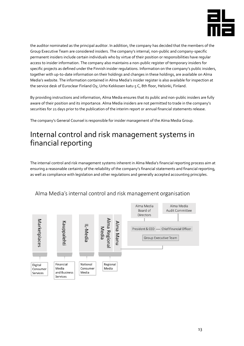

the auditor nominated as the principal auditor. In addition, the company has decided that the members of the Group Executive Team are considered insiders. The company's internal, non-public and company-specific permanent insiders include certain individuals who by virtue of their position or responsibilities have regular access to insider information. The company also maintains a non-public register of temporary insiders for specific projects as defined under the Finnish insider regulations. Information on the company's public insiders, together with up-to-date information on their holdings and changes in these holdings, are available on Alma Media's website. The information contained in Alma Media's insider register is also available for inspection at the service desk of Euroclear Finland Oy, Urho Kekkosen katu 5 C, 8th floor, Helsinki, Finland.

By providing instructions and information, Alma Media ensures that its public and non-public insiders are fully aware of their position and its importance. Alma Media insiders are not permitted to trade in the company's securities for 21 days prior to the publication of the interim report or annual financial statements release.

The company's General Counsel is responsible for insider management of the Alma Media Group.

### <span id="page-12-0"></span>Internal control and risk management systems in financial reporting

The internal control and risk management systems inherent in Alma Media's financial reporting process aim at ensuring a reasonable certainty of the reliability of the company's financial statements and financial reporting, as well as compliance with legislation and other regulations and generally accepted accounting principles.

<span id="page-12-1"></span>

### Alma Media's internal control and risk management organisation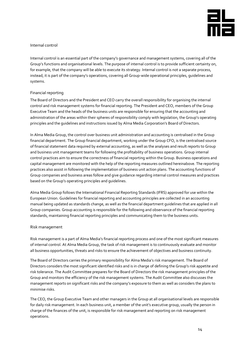

#### Internal control

Internal control is an essential part of the company's governance and management systems, covering all of the Group's functions and organisational levels. The purpose of internal control is to provide sufficient certainty on, for example, that the company will be able to execute its strategy. Internal control is not a separate process, instead, it is part of the company's operations, covering all Group-wide operational principles, guidelines and systems.

#### <span id="page-13-0"></span>Financial reporting

The Board of Directors and the President and CEO carry the overall responsibility for organising the internal control and risk management systems for financial reporting. The President and CEO, members of the Group Executive Team and the heads of the business units are responsible for ensuring that the accounting and administration of the areas within their spheres of responsibility comply with legislation, the Group's operating principles and the guidelines and instructions issued by Alma Media Corporation's Board of Directors.

In Alma Media Group, the control over business unit administration and accounting is centralised in the Group financial department. The Group financial department, working under the Group CFO, is the centralised source of financial statement data required by external accounting, as well as the analyses and result reports to Group and business unit management teams for following the profitability of business operations. Group internal control practices aim to ensure the correctness of financial reporting within the Group. Business operations and capital management are monitored with the help of the reporting measures outlined hereinabove. The reporting practices also assist in following the implementation of business unit action plans. The accounting functions of Group companies and business areas follow and give guidance regarding internal control measures and practices based on the Group's operating principles and guidelines.

Alma Media Group follows the International Financial Reporting Standards (IFRS) approved for use within the European Union. Guidelines for financial reporting and accounting principles are collected in an accounting manual being updated as standards change, as well as the financial department guidelines that are applied in all Group companies. Group accounting is responsible for the following and observance of the financial reporting standards, maintaining financial reporting principles and communicating them to the business units.

#### <span id="page-13-1"></span>Risk management

Risk management is a part of Alma Media's financial reporting process and one of the most significant measures of internal control. At Alma Media Group, the task of risk management is to continuously evaluate and monitor all business opportunities, threats and risks to ensure the achievement of objectives and business continuity.

The Board of Directors carries the primary responsibility for Alma Media's risk management. The Board of Directors considers the most significant identified risks and is in charge of defining the Group's risk appetite and risk tolerance. The Audit Committee prepares for the Board of Directors the risk management principles of the Group and monitors the efficiency of the risk management systems. The Audit Committee also discusses the management reports on significant risks and the company's exposure to them as well as considers the plans to minimise risks.

The CEO, the Group Executive Team and other managers in the Group at all organisational levels are responsible for daily risk management. In each business unit, a member of the unit's executive group, usually the person in charge of the finances of the unit, is responsible for risk management and reporting on risk management operations.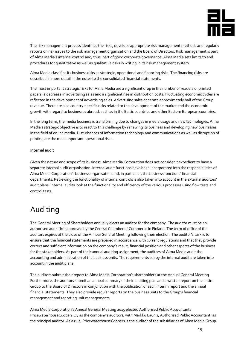

The risk management process identifies the risks, develops appropriate risk management methods and regularly reports on risk issues to the risk management organisation and the Board of Directors. Risk management is part of Alma Media's internal control and, thus, part of good corporate governance. Alma Media sets limits to and procedures for quantitative as well as qualitative risks in writing in its risk management system.

Alma Media classifies its business risks as strategic, operational and financing risks. The financing risks are described in more detail in the notes to the consolidated financial statements.

The most important strategic risks for Alma Media are a significant drop in the number of readers of printed papers, a decrease in advertising sales and a significant rise in distribution costs. Fluctuating economic cycles are reflected in the development of advertising sales. Advertising sales generate approximately half of the Group revenue. There are also country-specific risks related to the development of the market and the economic growth with regard to businesses abroad, such as in the Baltic countries and other Eastern European countries.

In the long term, the media business is transforming due to changes in media usage and new technologies. Alma Media's strategic objective is to react to this challenge by renewing its business and developing new businesses in the field of online media. Disturbances of information technology and communications as well as disruption of printing are the most important operational risks.

#### <span id="page-14-0"></span>Internal audit

Given the nature and scope of its business, Alma Media Corporation does not consider it expedient to have a separate internal audit organisation. Internal audit functions have been incorporated into the responsibilities of Alma Media Corporation's business organisation and, in particular, the business functions' financial departments. Reviewing the functionality of internal controls is also taken into account in the external auditors' audit plans. Internal audits look at the functionality and efficiency of the various processes using flow tests and control tests.

### <span id="page-14-1"></span>Auditing

The General Meeting of Shareholders annually elects an auditor for the company. The auditor must be an authorised audit firm approved by the Central Chamber of Commerce in Finland. The term of office of the auditors expires at the close of the Annual General Meeting following their election. The auditor's task is to ensure that the financial statements are prepared in accordance with current regulations and that they provide correct and sufficient information on the company's result, financial position and other aspects of the business for the stakeholders. As part of their annual auditing assignment, the auditors of Alma Media audit the accounting and administration of the business units. The requirements set by the internal audit are taken into account in the audit plans.

The auditors submit their report to Alma Media Corporation's shareholders at the Annual General Meeting. Furthermore, the auditors submit an annual summary of their auditing plan and a written report on the entire Group to the Board of Directors in conjunction with the publication of each interim report and the annual financial statements. They also provide regular reports on the business units to the Group's financial management and reporting unit managements.

Alma Media Corporation's Annual General Meeting 2015 elected Authorised Public Accountants PricewaterhouseCoopers Oy as the company's auditors, with Markku Launis, Authorised Public Accountant, as the principal auditor. As a rule, PricewaterhouseCoopers is the auditor of the subsidiaries of Alma Media Group.